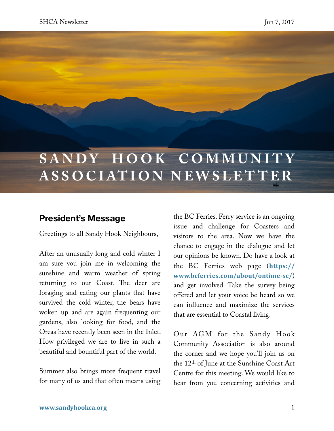# **SANDY HOOK COMMUNITY ASSOCIATION NEWSLET TER**

### **President's Message**

Greetings to all Sandy Hook Neighbours,

After an unusually long and cold winter I am sure you join me in welcoming the sunshine and warm weather of spring returning to our Coast. The deer are foraging and eating our plants that have survived the cold winter, the bears have woken up and are again frequenting our gardens, also looking for food, and the Orcas have recently been seen in the Inlet. How privileged we are to live in such a beautiful and bountiful part of the world.

Summer also brings more frequent travel for many of us and that often means using

the BC Ferries. Ferry service is an ongoing issue and challenge for Coasters and visitors to the area. Now we have the chance to engage in the dialogue and let our opinions be known. Do have a look at the BC Ferries web page (**[https://](https://www.bcferries.com/about/ontime-sc/) [www.bcferries.com/about/ontime-sc/](https://www.bcferries.com/about/ontime-sc/)**) and get involved. Take the survey being offered and let your voice be heard so we can infuence and maximize the services that are essential to Coastal living.

Our AGM for the Sandy Hook Community Association is also around the corner and we hope you'll join us on the 12th of June at the Sunshine Coast Art Centre for this meeting. We would like to hear from you concerning activities and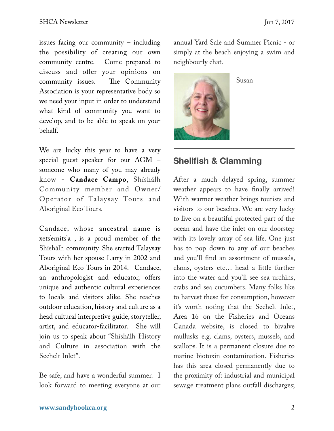issues facing our community – including the possibility of creating our own community centre. Come prepared to discuss and offer your opinions on community issues. The Community Association is your representative body so we need your input in order to understand what kind of community you want to develop, and to be able to speak on your behalf.

We are lucky this year to have a very special guest speaker for our AGM – someone who many of you may already know - **Candace Campo**, Shíshálh Community member and Owner/ Operator of Talaysay Tours and Aboriginal Eco Tours.

Candace, whose ancestral name is xets'emits'a , is a proud member of the Shíshálh community. She started Talaysay Tours with her spouse Larry in 2002 and Aboriginal Eco Tours in 2014. Candace, an anthropologist and educator, offers unique and authentic cultural experiences to locals and visitors alike. She teaches outdoor education, history and culture as a head cultural interpretive guide, storyteller, artist, and educator-facilitator. She will join us to speak about "Shíshálh History and Culture in association with the Sechelt Inlet".

Be safe, and have a wonderful summer. I look forward to meeting everyone at our annual Yard Sale and Summer Picnic - or simply at the beach enjoying a swim and neighbourly chat.



Susan

### **Shellfish & Clamming**

After a much delayed spring, summer weather appears to have fnally arrived! With warmer weather brings tourists and visitors to our beaches. We are very lucky to live on a beautiful protected part of the ocean and have the inlet on our doorstep with its lovely array of sea life. One just has to pop down to any of our beaches and you'll fnd an assortment of mussels, clams, oysters etc… head a little further into the water and you'll see sea urchins, crabs and sea cucumbers. Many folks like to harvest these for consumption, however it's worth noting that the Sechelt Inlet, Area 16 on the Fisheries and Oceans Canada website, is closed to bivalve mullusks e.g. clams, oysters, mussels, and scallops. It is a permanent closure due to marine biotoxin contamination. Fisheries has this area closed permanently due to the proximity of: industrial and municipal sewage treatment plans outfall discharges;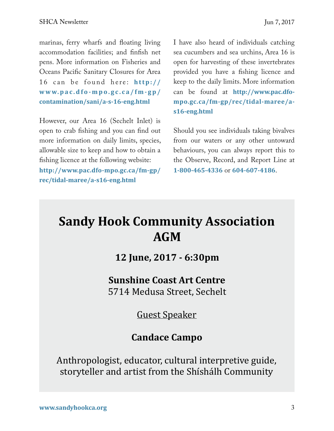marinas, ferry wharfs and foating living accommodation facilities; and fnfsh net pens. More information on Fisheries and Oceans Pacifc Sanitary Closures for Area 16 can be found here: [http://](http://www.pac.dfo-mpo.gc.ca/fm-gp/contamination/sani/a-s-16-eng.html) **[www.pac.d fo-mpo.gc.ca/ fm-gp/](http://www.pac.dfo-mpo.gc.ca/fm-gp/contamination/sani/a-s-16-eng.html) [contamination/sani/a-s-16-eng.html](http://www.pac.dfo-mpo.gc.ca/fm-gp/contamination/sani/a-s-16-eng.html)**

However, our Area 16 (Sechelt Inlet) is open to crab fshing and you can fnd out more information on daily limits, species, allowable size to keep and how to obtain a fshing licence at the following website: **[http://www.pac.dfo-mpo.gc.ca/fm-gp/](http://www.pac.dfo-mpo.gc.ca/fm-gp/rec/tidal-maree/a-s16-eng.html) [rec/tidal-maree/a-s16-eng.html](http://www.pac.dfo-mpo.gc.ca/fm-gp/rec/tidal-maree/a-s16-eng.html)**

I have also heard of individuals catching sea cucumbers and sea urchins, Area 16 is open for harvesting of these invertebrates provided you have a fshing licence and keep to the daily limits. More information can be found at **[http://www.pac.dfo](http://www.pac.dfo-mpo.gc.ca/fm-gp/rec/tidal-maree/a-s16-eng.html)[mpo.gc.ca/fm-gp/rec/tidal-maree/a](http://www.pac.dfo-mpo.gc.ca/fm-gp/rec/tidal-maree/a-s16-eng.html)[s16-eng.html](http://www.pac.dfo-mpo.gc.ca/fm-gp/rec/tidal-maree/a-s16-eng.html)**

Should you see individuals taking bivalves from our waters or any other untoward behaviours, you can always report this to the Observe, Record, and Report Line at **1-800-465-4336** or **604-607-4186**.

## **Sandy Hook Community Association AGM**

**12 June, 2017 - 6:30pm** 

**Sunshine Coast Art Centre** 5714 Medusa Street, Sechelt

Guest Speaker

## **Candace Campo**

Anthropologist, educator, cultural interpretive guide, storyteller and artist from the Shishálh Community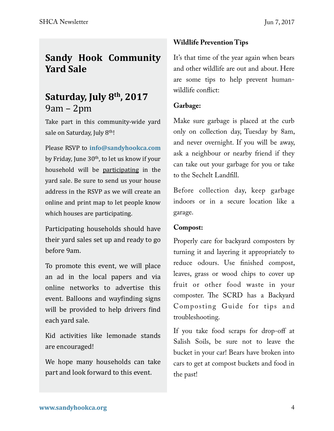### **Sandy Hook Community Yard Sale**

## **Saturday, July 8<sup>th</sup>, 2017**  $9am - 2pm$

Take part in this community-wide yard sale on Saturday, July 8<sup>th</sup>!

Please RSVP to [info@sandyhookca.com](mailto:info@sandyhookca.com) by Friday, June  $30<sup>th</sup>$ , to let us know if your household will be participating in the yard sale. Be sure to send us your house address in the RSVP as we will create an online and print map to let people know which houses are participating.

Participating households should have their yard sales set up and ready to go before 9am. 

To promote this event, we will place an ad in the local papers and via online networks to advertise this event. Balloons and wayfinding signs will be provided to help drivers find each yard sale.

Kid activities like lemonade stands are encouraged!

We hope many households can take part and look forward to this event.

#### **Wildlife Prevention Tips**

It's that time of the year again when bears and other wildlife are out and about. Here are some tips to help prevent humanwildlife confict:

#### **Garbage:**

Make sure garbage is placed at the curb only on collection day, Tuesday by 8am, and never overnight. If you will be away, ask a neighbour or nearby friend if they can take out your garbage for you or take to the Sechelt Landfll.

Before collection day, keep garbage indoors or in a secure location like a garage.

#### **Compost:**

Properly care for backyard composters by turning it and layering it appropriately to reduce odours. Use fnished compost, leaves, grass or wood chips to cover up fruit or other food waste in your composter. The SCRD has a Backyard Composting Guide for tips and troubleshooting.

If you take food scraps for drop-off at Salish Soils, be sure not to leave the bucket in your car! Bears have broken into cars to get at compost buckets and food in the past!